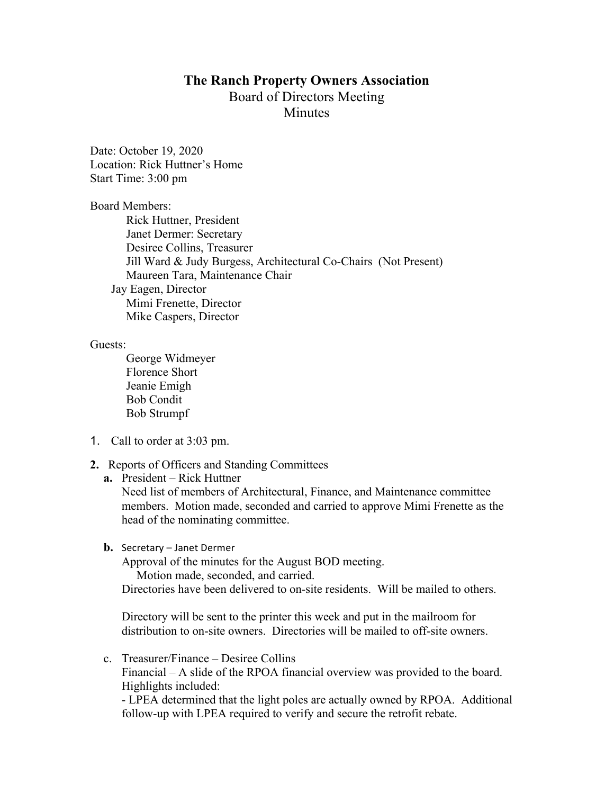## **The Ranch Property Owners Association** Board of Directors Meeting **Minutes**

Date: October 19, 2020 Location: Rick Huttner's Home Start Time: 3:00 pm

Board Members:

Rick Huttner, President Janet Dermer: Secretary Desiree Collins, Treasurer Jill Ward & Judy Burgess, Architectural Co-Chairs (Not Present) Maureen Tara, Maintenance Chair Jay Eagen, Director Mimi Frenette, Director Mike Caspers, Director

Guests:

George Widmeyer Florence Short Jeanie Emigh Bob Condit Bob Strumpf

- 1. Call to order at 3:03 pm.
- **2.** Reports of Officers and Standing Committees
	- **a.** President Rick Huttner

Need list of members of Architectural, Finance, and Maintenance committee members. Motion made, seconded and carried to approve Mimi Frenette as the head of the nominating committee.

**b.** Secretary – Janet Dermer

Approval of the minutes for the August BOD meeting. Motion made, seconded, and carried. Directories have been delivered to on-site residents. Will be mailed to others.

Directory will be sent to the printer this week and put in the mailroom for distribution to on-site owners. Directories will be mailed to off-site owners.

c. Treasurer/Finance – Desiree Collins Financial – A slide of the RPOA financial overview was provided to the board. Highlights included: - LPEA determined that the light poles are actually owned by RPOA. Additional follow-up with LPEA required to verify and secure the retrofit rebate.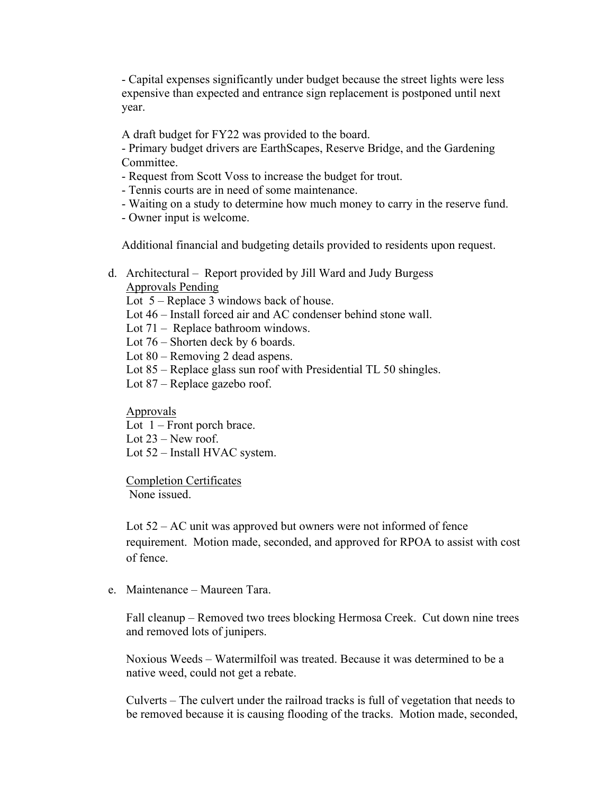- Capital expenses significantly under budget because the street lights were less expensive than expected and entrance sign replacement is postponed until next year.

A draft budget for FY22 was provided to the board.

- Primary budget drivers are EarthScapes, Reserve Bridge, and the Gardening Committee.

- Request from Scott Voss to increase the budget for trout.
- Tennis courts are in need of some maintenance.
- Waiting on a study to determine how much money to carry in the reserve fund.
- Owner input is welcome.

Additional financial and budgeting details provided to residents upon request.

d. Architectural – Report provided by Jill Ward and Judy Burgess Approvals Pending

Lot 5 – Replace 3 windows back of house.

- Lot 46 Install forced air and AC condenser behind stone wall.
- Lot 71 Replace bathroom windows.
- Lot 76 Shorten deck by 6 boards.
- Lot 80 Removing 2 dead aspens.
- Lot 85 Replace glass sun roof with Presidential TL 50 shingles.
- Lot 87 Replace gazebo roof.

## Approvals

- Lot 1 Front porch brace.
- Lot 23 New roof.
- Lot 52 Install HVAC system.

Completion Certificates None issued.

Lot 52 – AC unit was approved but owners were not informed of fence requirement. Motion made, seconded, and approved for RPOA to assist with cost of fence.

e. Maintenance – Maureen Tara.

Fall cleanup – Removed two trees blocking Hermosa Creek. Cut down nine trees and removed lots of junipers.

Noxious Weeds – Watermilfoil was treated. Because it was determined to be a native weed, could not get a rebate.

Culverts – The culvert under the railroad tracks is full of vegetation that needs to be removed because it is causing flooding of the tracks.Motion made, seconded,